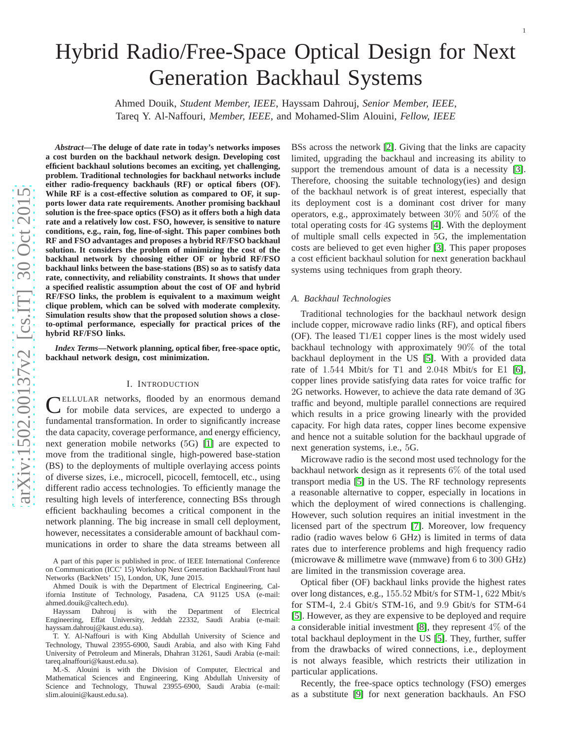# Hybrid Radio/Free-Space Optical Design for Next Generation Backhaul Systems

Ahmed Douik, *Student Member, IEEE*, Hayssam Dahrouj, *Senior Member, IEEE* , Tareq Y. Al-Naffouri, *Member, IEEE*, and Mohamed-Slim Alouini, *Fellow, IEEE*

*Abstract***—The deluge of date rate in today's networks imposes** a cost burden on the backhaul network design. Developing cost **efficient backhaul solutions becomes an exciting, yet challenging, problem. Traditional technologies for backhaul networks include either radio-frequency backhauls (RF) or optical fibers (OF). While RF is a cost-effective solution as compared to OF, it supports lower data rate requirements. Another promising backhaul solution is the free-space optics (FSO) as it offers both a high data rate and a relatively low cost. FSO, however, is sensitive to nature conditions, e.g., rain, fog, line-of-sight. This paper combines both RF and FSO advantages and proposes a hybrid RF/FSO backhaul solution. It considers the problem of minimizing the cost of the backhaul network by choosing either OF or hybrid RF/FSO backhaul links between the base-stations (BS) so as to satisfy data rate, connectivity, and reliability constraints. It shows that under a specified realistic assumption about the cost of OF and hybrid RF/FSO links, the problem is equivalent to a maximum weight clique problem, which can be solved with moderate complexity. Simulation results show that the proposed solution shows a closeto-optimal performance, especially for practical prices of the hybrid RF/FSO links.**

*Index Terms***—Network planning, optical fiber, free-space optic, backhaul network design, cost minimization.**

#### I. INTRODUCTION

C ELLULAR networks, flooded by an enormous demand for mobile data services, are expected to undergo a fundamental transformation. In order to significantly increase the data capacity, coverage performance, and energy efficiency, next generation mobile networks ( 5G) [\[1\]](#page-12-0) are expected to move from the traditional single, high-powered base-station (BS) to the deployments of multiple overlaying access point s of diverse sizes, i.e., microcell, picocell, femtocell, etc., using different radio access technologies. To efficiently manage the resulting high levels of interference, connecting BSs through efficient backhauling becomes a critical component in the network planning. The big increase in small cell deployment , however, necessitates a considerable amount of backhaul communications in order to share the data streams between all

A part of this paper is published in proc. of IEEE International Conference on Communication (ICC' 15) Workshop Next Generation Backhaul/Front haul Networks (BackNets' 15), London, UK, June 2015.

Ahmed Douik is with the Department of Electrical Engineering, California Institute of Technology, Pasadena, CA 91125 USA (e-mail: ahmed.douik@caltech.edu).

Hayssam Dahrouj is with the Department of Electrical Engineering, Effat University, Jeddah 22332, Saudi Arabia (e-mail: hayssam.dahrouj@kaust.edu.sa).

T. Y. Al-Naffouri is with King Abdullah University of Science and Technology, Thuwal 23955-6900, Saudi Arabia, and also with King Fahd University of Petroleum and Minerals, Dhahran 31261, Saudi Arabia (e-mail: tareq.alnaffouri@kaust.edu.sa).

M.-S. Alouini is with the Division of Computer, Electrical and Mathematical Sciences and Engineering, King Abdullah University of Science and Technology, Thuwal 23955-6900, Saudi Arabia (e-mail: slim.alouini@kaust.edu.sa).

BSs across the network [\[2\]](#page-12-1). Giving that the links are capacity limited, upgrading the backhaul and increasing its ability to support the tremendous amount of data is a necessity [\[3\]](#page-12-2). Therefore, choosing the suitable technology(ies) and design of the backhaul network is of great interest, especially tha t its deployment cost is a dominant cost driver for many operators, e.g., approximately between 30% and 50% of the total operating costs for 4G systems [\[4\]](#page-12-3). With the deployment of multiple small cells expected in 5G, the implementation costs are believed to get even higher [\[3\]](#page-12-2). This paper propose s a cost efficient backhaul solution for next generation backhaul systems using techniques from graph theory.

1

## *A. Backhaul Technologies*

Traditional technologies for the backhaul network design include copper, microwave radio links (RF), and optical fibers (OF). The leased T 1/E 1 copper lines is the most widely used backhaul technology with approximately 90% of the total backhaul deployment in the US [\[5\]](#page-12-4). With a provided data rate of 1 .544 Mbit/s for T 1 and 2 .048 Mbit/s for E 1 [\[6\]](#page-12-5), copper lines provide satisfying data rates for voice traffic for 2G networks. However, to achieve the data rate demand of 3G traffic and beyond, multiple parallel connections are required which results in a price growing linearly with the provided capacity. For high data rates, copper lines become expensiv e and hence not a suitable solution for the backhaul upgrade of next generation systems, i.e., 5G.

Microwave radio is the second most used technology for the backhaul network design as it represents 6% of the total used transport media [\[5\]](#page-12-4) in the US. The RF technology represents a reasonable alternative to copper, especially in locations in which the deployment of wired connections is challenging. However, such solution requires an initial investment in th e licensed part of the spectrum [\[7\]](#page-12-6). Moreover, low frequency radio (radio waves below 6 GHz) is limited in terms of data rates due to interference problems and high frequency radio (microwave & millimetre wave (mmwave) from 6 to 300 GHz) are limited in the transmission coverage area.

Optical fiber (OF) backhaul links provide the highest rates over long distances, e.g., 155 .52 Mbit/s for STM-1 , 622 Mbit/s for STM-4 , 2 . 4 Gbit/s STM-16, and 9 . 9 Gbit/s for STM-64 [\[5\]](#page-12-4). However, as they are expensive to be deployed and requir e a considerable initial investment [\[8\]](#page-12-7), they represent  $4\%$  of the total backhaul deployment in the US [\[5\]](#page-12-4). They, further, suffer from the drawbacks of wired connections, i.e., deployment is not always feasible, which restricts their utilization i n particular applications.

Recently, the free-space optics technology (FSO) emerges as a substitute [\[9\]](#page-12-8) for next generation backhauls. An FSO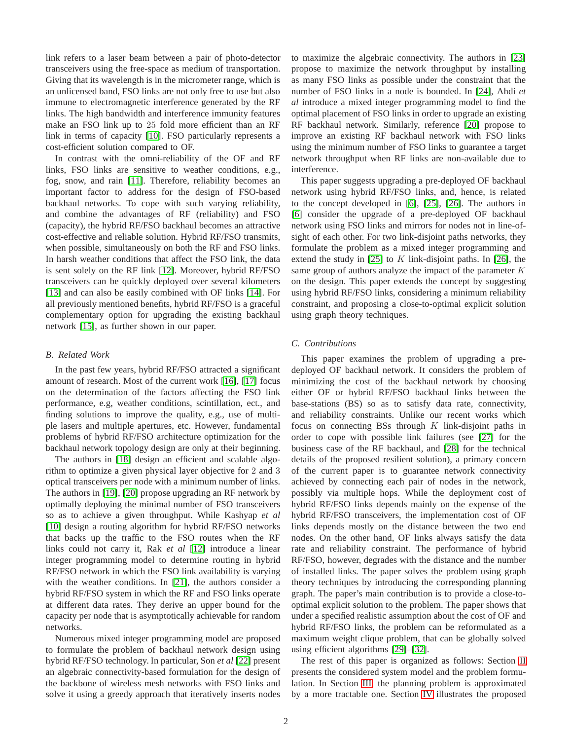link refers to a laser beam between a pair of photo-detector transceivers using the free-space as medium of transportation. Giving that its wavelength is in the micrometer range, which is an unlicensed band, FSO links are not only free to use but also immune to electromagnetic interference generated by the RF links. The high bandwidth and interference immunity features make an FSO link up to 25 fold more efficient than an RF link in terms of capacity [\[10\]](#page-12-9). FSO particularly represents a cost-efficient solution compared to OF.

In contrast with the omni-reliability of the OF and RF links, FSO links are sensitive to weather conditions, e.g., fog, snow, and rain [\[11\]](#page-12-10). Therefore, reliability becomes an important factor to address for the design of FSO-based backhaul networks. To cope with such varying reliability, and combine the advantages of RF (reliability) and FSO (capacity), the hybrid RF/FSO backhaul becomes an attractive cost-effective and reliable solution. Hybrid RF/FSO transmits, when possible, simultaneously on both the RF and FSO links. In harsh weather conditions that affect the FSO link, the data is sent solely on the RF link [\[12\]](#page-12-11). Moreover, hybrid RF/FSO transceivers can be quickly deployed over several kilometers [\[13\]](#page-12-12) and can also be easily combined with OF links [\[14\]](#page-12-13). For all previously mentioned benefits, hybrid RF/FSO is a graceful complementary option for upgrading the existing backhaul network [\[15\]](#page-12-14), as further shown in our paper.

### *B. Related Work*

In the past few years, hybrid RF/FSO attracted a significant amount of research. Most of the current work [\[16\]](#page-12-15), [\[17\]](#page-12-16) focus on the determination of the factors affecting the FSO link performance, e.g, weather conditions, scintillation, ect., and finding solutions to improve the quality, e.g., use of multiple lasers and multiple apertures, etc. However, fundamental problems of hybrid RF/FSO architecture optimization for the backhaul network topology design are only at their beginning.

The authors in [\[18\]](#page-12-17) design an efficient and scalable algorithm to optimize a given physical layer objective for 2 and 3 optical transceivers per node with a minimum number of links. The authors in [\[19\]](#page-12-18), [\[20\]](#page-12-19) propose upgrading an RF network by optimally deploying the minimal number of FSO transceivers so as to achieve a given throughput. While Kashyap *et al* [\[10\]](#page-12-9) design a routing algorithm for hybrid RF/FSO networks that backs up the traffic to the FSO routes when the RF links could not carry it, Rak *et al* [\[12\]](#page-12-11) introduce a linear integer programming model to determine routing in hybrid RF/FSO network in which the FSO link availability is varying with the weather conditions. In [\[21\]](#page-12-20), the authors consider a hybrid RF/FSO system in which the RF and FSO links operate at different data rates. They derive an upper bound for the capacity per node that is asymptotically achievable for random networks.

Numerous mixed integer programming model are proposed to formulate the problem of backhaul network design using hybrid RF/FSO technology. In particular, Son *et al* [\[22\]](#page-12-21) present an algebraic connectivity-based formulation for the design of the backbone of wireless mesh networks with FSO links and solve it using a greedy approach that iteratively inserts nodes to maximize the algebraic connectivity. The authors in [\[23\]](#page-12-22) propose to maximize the network throughput by installing as many FSO links as possible under the constraint that the number of FSO links in a node is bounded. In [\[24\]](#page-12-23), Ahdi *et al* introduce a mixed integer programming model to find the optimal placement of FSO links in order to upgrade an existing RF backhaul network. Similarly, reference [\[20\]](#page-12-19) propose to improve an existing RF backhaul network with FSO links using the minimum number of FSO links to guarantee a target network throughput when RF links are non-available due to interference.

This paper suggests upgrading a pre-deployed OF backhaul network using hybrid RF/FSO links, and, hence, is related to the concept developed in [\[6\]](#page-12-5), [\[25\]](#page-12-24), [\[26\]](#page-12-25). The authors in [\[6\]](#page-12-5) consider the upgrade of a pre-deployed OF backhaul network using FSO links and mirrors for nodes not in line-ofsight of each other. For two link-disjoint paths networks, they formulate the problem as a mixed integer programming and extend the study in [\[25\]](#page-12-24) to K link-disjoint paths. In [\[26\]](#page-12-25), the same group of authors analyze the impact of the parameter  $K$ on the design. This paper extends the concept by suggesting using hybrid RF/FSO links, considering a minimum reliability constraint, and proposing a close-to-optimal explicit solution using graph theory techniques.

# *C. Contributions*

This paper examines the problem of upgrading a predeployed OF backhaul network. It considers the problem of minimizing the cost of the backhaul network by choosing either OF or hybrid RF/FSO backhaul links between the base-stations (BS) so as to satisfy data rate, connectivity, and reliability constraints. Unlike our recent works which focus on connecting BSs through  $K$  link-disjoint paths in order to cope with possible link failures (see [\[27\]](#page-12-26) for the business case of the RF backhaul, and [\[28\]](#page-12-27) for the technical details of the proposed resilient solution), a primary concern of the current paper is to guarantee network connectivity achieved by connecting each pair of nodes in the network, possibly via multiple hops. While the deployment cost of hybrid RF/FSO links depends mainly on the expense of the hybrid RF/FSO transceivers, the implementation cost of OF links depends mostly on the distance between the two end nodes. On the other hand, OF links always satisfy the data rate and reliability constraint. The performance of hybrid RF/FSO, however, degrades with the distance and the number of installed links. The paper solves the problem using graph theory techniques by introducing the corresponding planning graph. The paper's main contribution is to provide a close-tooptimal explicit solution to the problem. The paper shows that under a specified realistic assumption about the cost of OF and hybrid RF/FSO links, the problem can be reformulated as a maximum weight clique problem, that can be globally solved using efficient algorithms [\[29\]](#page-12-28)–[\[32\]](#page-12-29).

The rest of this paper is organized as follows: Section [II](#page-2-0) presents the considered system model and the problem formulation. In Section [III,](#page-3-0) the planning problem is approximated by a more tractable one. Section [IV](#page-4-0) illustrates the proposed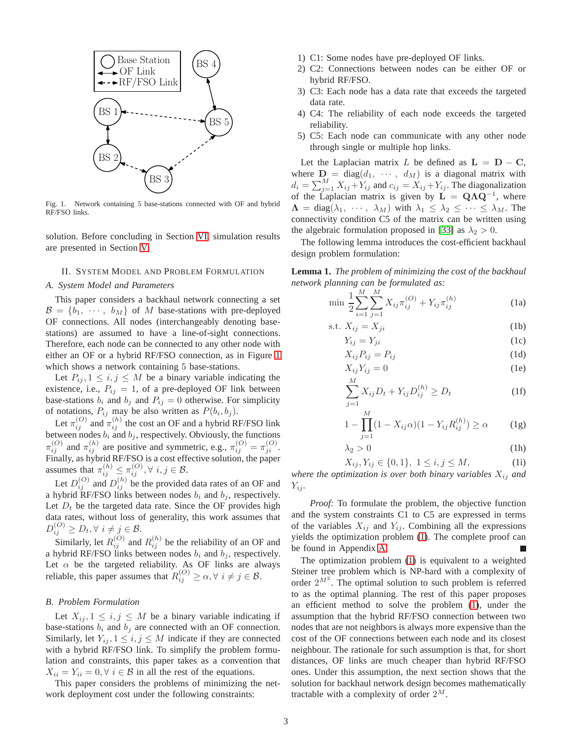

<span id="page-2-1"></span>Fig. 1. Network containing 5 base-stations connected with OF and hybrid RF/FSO links.

solution. Before concluding in Section [VI,](#page-7-0) simulation results are presented in Section [V.](#page-5-0)

## <span id="page-2-0"></span>II. SYSTEM MODEL AND PROBLEM FORMULATION

#### *A. System Model and Parameters*

This paper considers a backhaul network connecting a set  $\mathcal{B} = \{b_1, \cdots, b_M\}$  of M base-stations with pre-deployed OF connections. All nodes (interchangeably denoting basestations) are assumed to have a line-of-sight connections. Therefore, each node can be connected to any other node with either an OF or a hybrid RF/FSO connection, as in Figure [1](#page-2-1) which shows a network containing 5 base-stations.

Let  $P_{ij}$ ,  $1 \leq i, j \leq M$  be a binary variable indicating the existence, i.e.,  $P_{ij} = 1$ , of a pre-deployed OF link between base-stations  $b_i$  and  $b_j$  and  $P_{ij} = 0$  otherwise. For simplicity of notations,  $P_{ij}$  may be also written as  $P(b_i, b_j)$ .

Let  $\pi_{ij}^{(O)}$  and  $\pi_{ij}^{(h)}$  the cost an OF and a hybrid RF/FSO link between nodes  $b_i$  and  $b_j$ , respectively. Obviously, the functions  $\pi_{ij}^{(O)}$  and  $\pi_{ij}^{(h)}$  are positive and symmetric, e.g.,  $\pi_{ij}^{(O)} = \pi_{ji}^{(O)}$ . Finally, as hybrid RF/FSO is a cost effective solution, the paper assumes that  $\pi_{ij}^{(h)} \leq \pi_{ij}^{(O)}$ ,  $\forall i, j \in \mathcal{B}$ .

Let  $D_{ij}^{(O)}$  and  $D_{ij}^{(h)}$  be the provided data rates of an OF and a hybrid RF/FSO links between nodes  $b_i$  and  $b_j$ , respectively. Let  $D_t$  be the targeted data rate. Since the OF provides high data rates, without loss of generality, this work assumes that  $D_{ij}^{(O)} \geq D_t, \forall i \neq j \in \mathcal{B}.$ 

Similarly, let  $R_{ij}^{(O)}$  and  $R_{ij}^{(h)}$  be the reliability of an OF and a hybrid RF/FSO links between nodes  $b_i$  and  $b_j$ , respectively. Let  $\alpha$  be the targeted reliability. As OF links are always reliable, this paper assumes that  $R_{ij}^{(O)} \ge \alpha, \forall i \ne j \in \mathcal{B}$ .

## *B. Problem Formulation*

Let  $X_{ij}$ ,  $1 \leq i, j \leq M$  be a binary variable indicating if base-stations  $b_i$  and  $b_j$  are connected with an OF connection. Similarly, let  $Y_{ij}$ ,  $1 \leq i, j \leq M$  indicate if they are connected with a hybrid RF/FSO link. To simplify the problem formulation and constraints, this paper takes as a convention that  $X_{ii} = Y_{ii} = 0, \forall i \in \mathcal{B}$  in all the rest of the equations.

This paper considers the problems of minimizing the network deployment cost under the following constraints:

- 1) C1: Some nodes have pre-deployed OF links.
- 2) C2: Connections between nodes can be either OF or hybrid RF/FSO.
- 3) C3: Each node has a data rate that exceeds the targeted data rate.
- 4) C4: The reliability of each node exceeds the targeted reliability.
- 5) C5: Each node can communicate with any other node through single or multiple hop links.

Let the Laplacian matrix L be defined as  $L = D - C$ , where  $\mathbf{D} = \text{diag}(d_1, \cdots, d_M)$  is a diagonal matrix with  $d_i = \sum_{j=1}^{M} X_{ij} + Y_{ij}$  and  $c_{ij} = X_{ij} + Y_{ij}$ . The diagonalization of the Laplacian matrix is given by  $L = QAQ^{-1}$ , where  $\Lambda = \text{diag}(\lambda_1, \dots, \lambda_M)$  with  $\lambda_1 \leq \lambda_2 \leq \dots \leq \lambda_M$ . The connectivity condition C5 of the matrix can be written using the algebraic formulation proposed in [\[33\]](#page-12-30) as  $\lambda_2 > 0$ .

The following lemma introduces the cost-efficient backhaul design problem formulation:

**Lemma 1.** *The problem of minimizing the cost of the backhaul network planning can be formulated as:*

$$
\min \frac{1}{2} \sum_{i=1}^{M} \sum_{j=1}^{M} X_{ij} \pi_{ij}^{(O)} + Y_{ij} \pi_{ij}^{(h)}
$$
(1a)

$$
s.t. X_{ij} = X_{ji}
$$
 (1b)

<span id="page-2-8"></span><span id="page-2-2"></span>
$$
Y_{ij} = Y_{ji} \tag{1c}
$$

<span id="page-2-9"></span><span id="page-2-4"></span>
$$
X_{ij}P_{ij} = P_{ij} \tag{1d}
$$

$$
X_{ij}Y_{ij} = 0
$$
 (1e)

<span id="page-2-6"></span><span id="page-2-5"></span>
$$
\sum_{j=1}^{M} X_{ij} D_t + Y_{ij} D_{ij}^{(h)} \ge D_t
$$
 (1f)

<span id="page-2-7"></span>
$$
1 - \prod_{j=1}^{M} (1 - X_{ij}\alpha)(1 - Y_{ij}R_{ij}^{(h)}) \ge \alpha \tag{1g}
$$

<span id="page-2-10"></span><span id="page-2-3"></span>
$$
\lambda_2 > 0 \tag{1h}
$$

$$
X_{ij}, Y_{ij} \in \{0, 1\}, \ 1 \le i, j \le M,\tag{1i}
$$

*where the optimization is over both binary variables*  $X_{ij}$  *and*  $Y_{ij}$ .

*Proof:* To formulate the problem, the objective function and the system constraints C1 to C5 are expressed in terms of the variables  $X_{ij}$  and  $Y_{ij}$ . Combining all the expressions yields the optimization problem [\(1\)](#page-2-2). The complete proof can be found in Appendix [A.](#page-7-1)

The optimization problem [\(1\)](#page-2-2) is equivalent to a weighted Steiner tree problem which is NP-hard with a complexity of order  $2^{M^2}$ . The optimal solution to such problem is referred to as the optimal planning. The rest of this paper proposes an efficient method to solve the problem [\(1\)](#page-2-2), under the assumption that the hybrid RF/FSO connection between two nodes that are not neighbors is always more expensive than the cost of the OF connections between each node and its closest neighbour. The rationale for such assumption is that, for short distances, OF links are much cheaper than hybrid RF/FSO ones. Under this assumption, the next section shows that the solution for backhaul network design becomes mathematically tractable with a complexity of order  $2^M$ .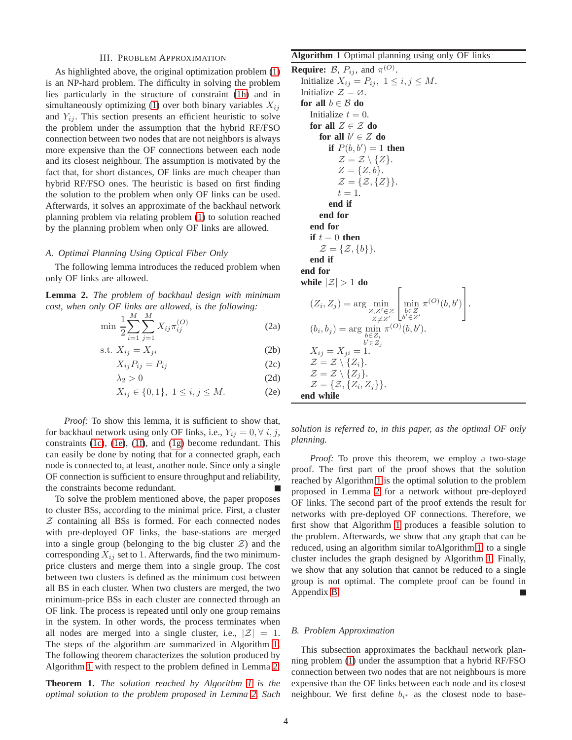#### III. PROBLEM APPROXIMATION

<span id="page-3-0"></span>As highlighted above, the original optimization problem [\(1\)](#page-2-2) is an NP-hard problem. The difficulty in solving the problem lies particularly in the structure of constraint [\(1h\)](#page-2-3) and in simultaneously optimizing [\(1\)](#page-2-2) over both binary variables  $X_{ij}$ and  $Y_{ij}$ . This section presents an efficient heuristic to solve the problem under the assumption that the hybrid RF/FSO connection between two nodes that are not neighbors is always more expensive than the OF connections between each node and its closest neighbour. The assumption is motivated by the fact that, for short distances, OF links are much cheaper than hybrid RF/FSO ones. The heuristic is based on first finding the solution to the problem when only OF links can be used. Afterwards, it solves an approximate of the backhaul network planning problem via relating problem [\(1\)](#page-2-2) to solution reached by the planning problem when only OF links are allowed.

#### *A. Optimal Planning Using Optical Fiber Only*

The following lemma introduces the reduced problem when only OF links are allowed.

**Lemma 2.** *The problem of backhaul design with minimum cost, when only OF links are allowed, is the following:*

$$
\min \frac{1}{2} \sum_{i=1}^{M} \sum_{j=1}^{M} X_{ij} \pi_{ij}^{(O)} \tag{2a}
$$

$$
s.t. X_{ij} = X_{ji}
$$
 (2b)

$$
X_{ij}P_{ij}=P_{ij}
$$
 (2c)

$$
\lambda_2 > 0 \tag{2d}
$$

$$
X_{ij} \in \{0, 1\}, \ 1 \le i, j \le M. \tag{2e}
$$

*Proof:* To show this lemma, it is sufficient to show that, for backhaul network using only OF links, i.e.,  $Y_{ij} = 0, \forall i, j$ , constraints [\(1c\)](#page-2-4), [\(1e\)](#page-2-5), [\(1f\)](#page-2-6), and [\(1g\)](#page-2-7) become redundant. This can easily be done by noting that for a connected graph, each node is connected to, at least, another node. Since only a single OF connection is sufficient to ensure throughput and reliability, the constraints become redundant.

To solve the problem mentioned above, the paper proposes to cluster BSs, according to the minimal price. First, a cluster  $Z$  containing all BSs is formed. For each connected nodes with pre-deployed OF links, the base-stations are merged into a single group (belonging to the big cluster  $\mathcal{Z}$ ) and the corresponding  $X_{ij}$  set to 1. Afterwards, find the two minimumprice clusters and merge them into a single group. The cost between two clusters is defined as the minimum cost between all BS in each cluster. When two clusters are merged, the two minimum-price BSs in each cluster are connected through an OF link. The process is repeated until only one group remains in the system. In other words, the process terminates when all nodes are merged into a single cluster, i.e.,  $|\mathcal{Z}| = 1$ . The steps of the algorithm are summarized in Algorithm [1.](#page-3-1) The following theorem characterizes the solution produced by Algorithm [1](#page-3-1) with respect to the problem defined in Lemma [2:](#page-3-2)

<span id="page-3-4"></span>**Theorem 1.** *The solution reached by Algorithm [1](#page-3-1) is the optimal solution to the problem proposed in Lemma [2.](#page-3-2) Such*

## <span id="page-3-1"></span>**Algorithm 1** Optimal planning using only OF links

**Require:**  $\mathcal{B}$ ,  $P_{ij}$ , and  $\pi^{(O)}$ . Initialize  $X_{ij} = P_{ij}, 1 \le i, j \le M$ . Initialize  $\mathcal{Z} = \emptyset$ . **for all**  $b \in \mathcal{B}$  **do** Initialize  $t = 0$ . **for all**  $Z \in \mathcal{Z}$  **do** for all  $b' \in Z$  do **if**  $P(b, b') = 1$  **then**  $\mathcal{Z} = \mathcal{Z} \setminus \{Z\}.$  $Z = \{Z, b\}.$  $\mathcal{Z} = \{Z, \{Z\}\}.$  $t=1$ . **end if end for end for if**  $t = 0$  **then**  $\mathcal{Z} = \{ \mathcal{Z}, \{b\} \}.$ **end if end for while**  $|\mathcal{Z}| > 1$  **do**  $(Z_i, Z_j) = \arg\min_{Z, Z' \in \mathcal{Z}}$  $Z \neq Z'$  $\lceil$  $\begin{array}{c}\n\min_{b \in Z} \\
b' \in Z'\n\end{array}$  $\pi^{(O)}(b,b')$ 1  $\vert \cdot$  $(b_i, b_j) = \arg\min_{\substack{b \in Z_i \ b' \in Z_j}}$  $\pi^{(O)}(b, b').$  $X_{ij} = X_{ji} = 1.$  $\mathcal{Z} = \mathcal{Z} \setminus \{Z_i\}.$  $\mathcal{Z} = \mathcal{Z} \setminus \{Z_i\}.$  $\mathcal{Z} = \{ \mathcal{Z}, \{ Z_i, Z_j \} \}.$ **end while**

<span id="page-3-7"></span><span id="page-3-6"></span><span id="page-3-5"></span><span id="page-3-3"></span><span id="page-3-2"></span>*solution is referred to, in this paper, as the optimal OF only planning.*

*Proof:* To prove this theorem, we employ a two-stage proof. The first part of the proof shows that the solution reached by Algorithm [1](#page-3-1) is the optimal solution to the problem proposed in Lemma [2](#page-3-2) for a network without pre-deployed OF links. The second part of the proof extends the result for networks with pre-deployed OF connections. Therefore, we first show that Algorithm [1](#page-3-1) produces a feasible solution to the problem. Afterwards, we show that any graph that can be reduced, using an algorithm similar toAlgorithm [1,](#page-3-1) to a single cluster includes the graph designed by Algorithm [1.](#page-3-1) Finally, we show that any solution that cannot be reduced to a single group is not optimal. The complete proof can be found in Appendix [B.](#page-8-0)

#### *B. Problem Approximation*

This subsection approximates the backhaul network planning problem [\(1\)](#page-2-2) under the assumption that a hybrid RF/FSO connection between two nodes that are not neighbours is more expensive than the OF links between each node and its closest neighbour. We first define  $b_{i^*}$  as the closest node to base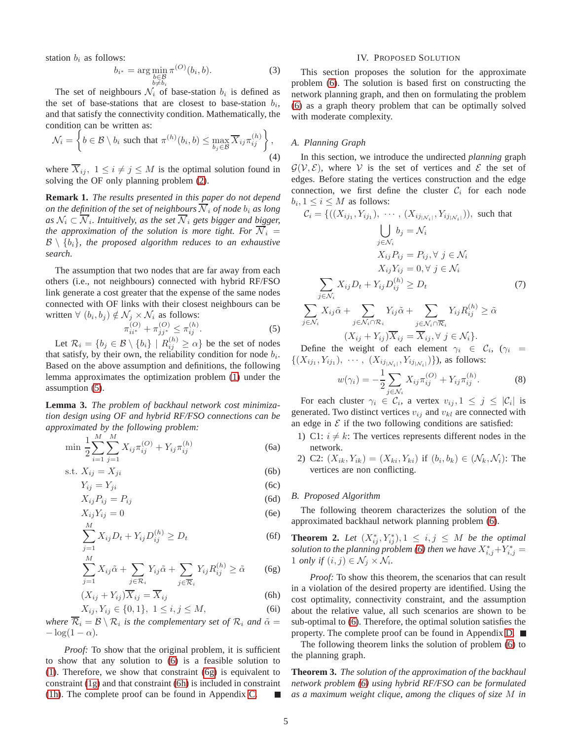station  $b_i$  as follows:

$$
b_{i^*} = \arg\min_{\substack{b \in \mathcal{B} \\ b \neq b_i}} \pi^{(O)}(b_i, b). \tag{3}
$$

The set of neighbours  $\mathcal{N}_i$  of base-station  $b_i$  is defined as the set of base-stations that are closest to base-station  $b_i$ , and that satisfy the connectivity condition. Mathematically, the condition can be written as:

$$
\mathcal{N}_i = \left\{ b \in \mathcal{B} \setminus b_i \text{ such that } \pi^{(h)}(b_i, b) \leq \max_{b_j \in \mathcal{B}} \overline{X}_{ij} \pi_{ij}^{(h)} \right\},\tag{4}
$$

where  $X_{ij}$ ,  $1 \leq i \neq j \leq M$  is the optimal solution found in solving the OF only planning problem [\(2\)](#page-3-3).

**Remark 1.** *The results presented in this paper do not depend on the definition of the set of neighbours*  $\overline{N}_i$  *of node*  $b_i$  *as long* as  $\mathcal{N}_i \subset \overline{\mathcal{N}}_i$ . Intuitively, as the set  $\overline{\mathcal{N}}_i$  gets bigger and bigger, *the approximation of the solution is more tight. For*  $\overline{N}_i$  =  $\mathcal{B} \setminus \{b_i\}$ , the proposed algorithm reduces to an exhaustive *search.*

The assumption that two nodes that are far away from each others (i.e., not neighbours) connected with hybrid RF/FSO link generate a cost greater that the expense of the same nodes connected with OF links with their closest neighbours can be written  $\forall$   $(b_i, b_j) \notin \mathcal{N}_j \times \mathcal{N}_i$  as follows:

$$
\pi_{ii^*}^{(O)} + \pi_{jj^*}^{(O)} \le \pi_{ij}^{(h)}.
$$
\n(5)

Let  $\mathcal{R}_i = \{b_j \in \mathcal{B} \setminus \{b_i\} \mid R^{(h)}_{ij} \geq \alpha\}$  be the set of nodes that satisfy, by their own, the reliability condition for node  $b_i$ . Based on the above assumption and definitions, the following lemma approximates the optimization problem [\(1\)](#page-2-2) under the assumption [\(5\)](#page-4-1).

**Lemma 3.** *The problem of backhaul network cost minimization design using OF and hybrid RF/FSO connections can be approximated by the following problem:*

$$
\min \frac{1}{2} \sum_{i=1}^{M} \sum_{j=1}^{M} X_{ij} \pi_{ij}^{(O)} + Y_{ij} \pi_{ij}^{(h)}
$$
(6a)

$$
s.t. X_{ij} = X_{ji}
$$
\n(6b)

$$
Y_{ij} = Y_{ji} \tag{6c}
$$

$$
X_{ij}P_{ij} = P_{ij}
$$
\n(6d)

$$
X_{ij}Y_{ij} = 0
$$
 (6e)

$$
\sum_{j=1} X_{ij} D_t + Y_{ij} D_{ij}^{(h)} \ge D_t
$$
 (6f)

$$
\sum_{j=1}^{M} X_{ij}\tilde{\alpha} + \sum_{j \in \mathcal{R}_i} Y_{ij}\tilde{\alpha} + \sum_{j \in \overline{\mathcal{R}}_i} Y_{ij}R_{ij}^{(h)} \ge \tilde{\alpha} \qquad (6g)
$$

$$
(X_{ij} + Y_{ij})\overline{X}_{ij} = \overline{X}_{ij}
$$
 (6h)

$$
X_{ij}, Y_{ij} \in \{0, 1\}, \ 1 \le i, j \le M,\tag{6i}
$$

where  $\mathcal{R}_i = \mathcal{B} \setminus \mathcal{R}_i$  is the complementary set of  $\mathcal{R}_i$  and  $\tilde{\alpha} =$  $-\log(1-\alpha)$ .

*Proof:* To show that the original problem, it is sufficient to show that any solution to [\(6\)](#page-4-2) is a feasible solution to [\(1\)](#page-2-2). Therefore, we show that constraint [\(6g\)](#page-4-3) is equivalent to constraint [\(1g\)](#page-2-7) and that constraint [\(6h\)](#page-4-4) is included in constraint [\(1h\)](#page-2-3). The complete proof can be found in Appendix [C.](#page-10-0)

#### IV. PROPOSED SOLUTION

<span id="page-4-0"></span>This section proposes the solution for the approximate problem [\(6\)](#page-4-2). The solution is based first on constructing the network planning graph, and then on formulating the problem [\(6\)](#page-4-2) as a graph theory problem that can be optimally solved with moderate complexity.

#### *A. Planning Graph*

<span id="page-4-6"></span>In this section, we introduce the undirected *planning* graph  $\mathcal{G}(\mathcal{V}, \mathcal{E})$ , where V is the set of vertices and E the set of edges. Before stating the vertices construction and the edge connection, we first define the cluster  $C_i$  for each node  $b_i, 1 \leq i \leq M$  as follows:

$$
C_i = \{((X_{ij_1}, Y_{ij_1}), \cdots, (X_{ij_{|N_i|}}, Y_{ij_{|N_i|}})), \text{ such that}
$$
  
\n
$$
\bigcup_{j \in N_i} b_j = N_i
$$
  
\n
$$
X_{ij} P_{ij} = P_{ij}, \forall j \in N_i
$$
  
\n
$$
X_{ij} Y_{ij} = 0, \forall j \in N_i
$$
  
\n
$$
\sum_{j \in N_i} X_{ij} D_t + Y_{ij} D_{ij}^{(h)} \ge D_t
$$
  
\n
$$
\sum_{j \in N_i} X_{ij} \tilde{\alpha} + \sum_{j \in N_i \cap \overline{R}_i} Y_{ij} \tilde{\alpha} + \sum_{j \in N_i \cap \overline{R}_i} Y_{ij} R_{ij}^{(h)} \ge \tilde{\alpha}
$$

$$
\begin{aligned} \n\begin{aligned}\n\begin{aligned}\n\begin{aligned}\n\begin{aligned}\n\begin{aligned}\n\begin{aligned}\n\begin{aligned}\n\begin{aligned}\n\begin{aligned}\n\begin{aligned}\n\begin{aligned}\n\begin{aligned}\n\begin{aligned}\n\end{aligned}\n\end{aligned}\n\end{aligned}\n\end{aligned}\n\end{aligned}\n\end{aligned}\n\end{aligned}\n\end{aligned}\n\end{aligned}\n\left(\begin{aligned}\nX_{ij} + Y_{ij}\right) \overline{X}_{ij} = \overline{X}_{ij}, \forall j \in \mathcal{N}_i \right\}.\n\end{aligned}\n\end{aligned}
$$

<span id="page-4-1"></span>Define the weight of each element  $\gamma_i \in \mathcal{C}_i$ ,  $(\gamma_i)$  $\{(X_{ij_1}, Y_{ij_1}), \cdots, (X_{ij_{|\mathcal{N}_i|}}, Y_{ij_{|\mathcal{N}_i|}})\}\)$ , as follows:

<span id="page-4-5"></span>
$$
w(\gamma_i) = -\frac{1}{2} \sum_{j \in \mathcal{N}_i} X_{ij} \pi_{ij}^{(O)} + Y_{ij} \pi_{ij}^{(h)}.
$$
 (8)

<span id="page-4-2"></span>For each cluster  $\gamma_i \in \mathcal{C}_i$ , a vertex  $v_{ij}, 1 \leq j \leq |\mathcal{C}_i|$  is generated. Two distinct vertices  $v_{ij}$  and  $v_{kl}$  are connected with an edge in  $\mathcal E$  if the two following conditions are satisfied:

- <span id="page-4-10"></span>1) C1:  $i \neq k$ : The vertices represents different nodes in the network.
- <span id="page-4-12"></span>2) C2:  $(X_{ik}, Y_{ik}) = (X_{ki}, Y_{ki})$  if  $(b_i, b_k) \in (N_k, \mathcal{N}_i)$ : The vertices are non conflicting.

#### <span id="page-4-14"></span><span id="page-4-13"></span>*B. Proposed Algorithm*

The following theorem characterizes the solution of the approximated backhaul network planning problem [\(6\)](#page-4-2).

<span id="page-4-11"></span><span id="page-4-8"></span>**Theorem 2.** Let  $(X_{ij}^*, Y_{ij}^*), 1 \leq i, j \leq M$  be the optimal *solution to the planning problem* [\(6\)](#page-4-2) then we have  $X^*_{i,j}+Y^*_{i,j}=$ 1 *only if*  $(i, j) \in \mathcal{N}_j \times \mathcal{N}_i$ .

<span id="page-4-7"></span><span id="page-4-4"></span><span id="page-4-3"></span>*Proof:* To show this theorem, the scenarios that can result in a violation of the desired property are identified. Using the cost optimality, connectivity constraint, and the assumption about the relative value, all such scenarios are shown to be sub-optimal to [\(6\)](#page-4-2). Therefore, the optimal solution satisfies the property. The complete proof can be found in Appendix [D.](#page-10-1)

The following theorem links the solution of problem [\(6\)](#page-4-2) to the planning graph.

<span id="page-4-9"></span>**Theorem 3.** *The solution of the approximation of the backhaul network problem [\(6\)](#page-4-2) using hybrid RF/FSO can be formulated as a maximum weight clique, among the cliques of size* M *in*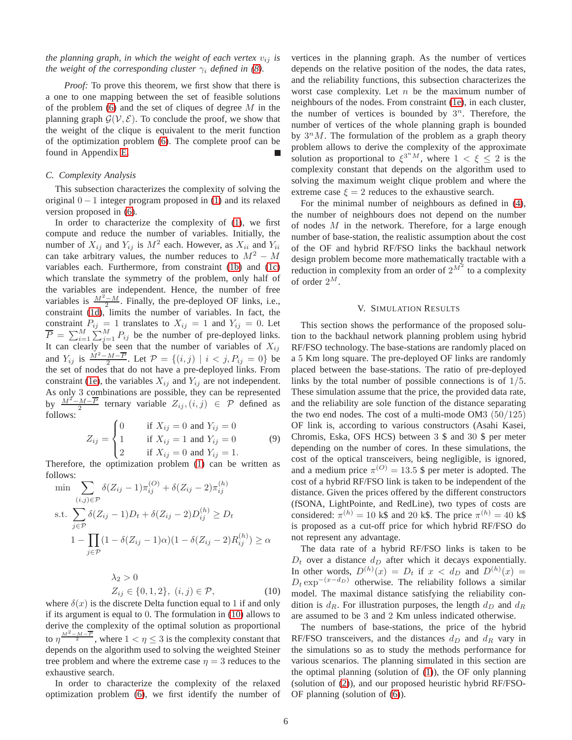*the planning graph, in which the weight of each vertex*  $v_{ij}$  *is the weight of the corresponding cluster*  $\gamma_i$  *defined in* [\(8\)](#page-4-5)*.* 

*Proof:* To prove this theorem, we first show that there is a one to one mapping between the set of feasible solutions of the problem  $(6)$  and the set of cliques of degree  $M$  in the planning graph  $\mathcal{G}(\mathcal{V}, \mathcal{E})$ . To conclude the proof, we show that the weight of the clique is equivalent to the merit function of the optimization problem [\(6\)](#page-4-2). The complete proof can be found in Appendix [E.](#page-11-0)

## *C. Complexity Analysis*

This subsection characterizes the complexity of solving the original  $0 - 1$  integer program proposed in [\(1\)](#page-2-2) and its relaxed version proposed in [\(6\)](#page-4-2).

In order to characterize the complexity of [\(1\)](#page-2-2), we first compute and reduce the number of variables. Initially, the number of  $X_{ij}$  and  $Y_{ij}$  is  $M^2$  each. However, as  $X_{ii}$  and  $Y_{ii}$ can take arbitrary values, the number reduces to  $M^2 - M$ variables each. Furthermore, from constraint [\(1b\)](#page-2-8) and [\(1c\)](#page-2-4) which translate the symmetry of the problem, only half of the variables are independent. Hence, the number of free variables is  $\frac{M^2 - M}{2}$ . Finally, the pre-deployed OF links, i.e., constraint [\(1d\)](#page-2-9), limits the number of variables. In fact, the constraint  $P_{ij} = 1$  translates to  $X_{ij} = 1$  and  $Y_{ij} = 0$ . Let  $\overline{P} = \sum_{i=1}^{M} \sum_{j=1}^{M} P_{ij}$  be the number of pre-deployed links. It can clearly be seen that the number of variables of  $X_{ij}$ and  $Y_{ij}$  is  $\frac{\dot{M}^2 - M - \overline{P}}{2}$ . Let  $\mathcal{P} = \{(i, j) | i < j, P_{ij} = 0\}$  be the set of nodes that do not have a pre-deployed links. From constraint [\(1e\)](#page-2-5), the variables  $X_{ij}$  and  $Y_{ij}$  are not independent. As only 3 combinations are possible, they can be represented by  $\frac{M^2-M-\overline{P}}{2}$  ternary variable  $Z_{ij}$ ,  $(i, j) \in \mathcal{P}$  defined as follows:

$$
Z_{ij} = \begin{cases} 0 & \text{if } X_{ij} = 0 \text{ and } Y_{ij} = 0 \\ 1 & \text{if } X_{ij} = 1 \text{ and } Y_{ij} = 0 \\ 2 & \text{if } X_{ij} = 0 \text{ and } Y_{ij} = 1. \end{cases}
$$
(9)

Therefore, the optimization problem [\(1\)](#page-2-2) can be written as follows:

$$
\min \sum_{(i,j)\in\mathcal{P}} \delta(Z_{ij} - 1)\pi_{ij}^{(O)} + \delta(Z_{ij} - 2)\pi_{ij}^{(h)}
$$
\n
$$
\text{s.t. } \sum_{j\in\mathcal{P}} \delta(Z_{ij} - 1)D_t + \delta(Z_{ij} - 2)D_{ij}^{(h)} \ge D_t
$$
\n
$$
1 - \prod_{j\in\mathcal{P}} (1 - \delta(Z_{ij} - 1)\alpha)(1 - \delta(Z_{ij} - 2)R_{ij}^{(h)}) \ge \alpha
$$

$$
\lambda_2 > 0
$$
  
\n
$$
Z_{ij} \in \{0, 1, 2\}, \ (i, j) \in \mathcal{P},
$$
\n(10)

where  $\delta(x)$  is the discrete Delta function equal to 1 if and only if its argument is equal to 0. The formulation in [\(10\)](#page-5-1) allows to derive the complexity of the optimal solution as proportional to  $\eta \frac{M^2 - M - \overline{P}}{2}$ , where  $1 < \eta \leq 3$  is the complexity constant that depends on the algorithm used to solving the weighted Steiner tree problem and where the extreme case  $\eta = 3$  reduces to the exhaustive search.

In order to characterize the complexity of the relaxed optimization problem [\(6\)](#page-4-2), we first identify the number of vertices in the planning graph. As the number of vertices depends on the relative position of the nodes, the data rates, and the reliability functions, this subsection characterizes the worst case complexity. Let  $n$  be the maximum number of neighbours of the nodes. From constraint [\(1e\)](#page-2-5), in each cluster, the number of vertices is bounded by  $3^n$ . Therefore, the number of vertices of the whole planning graph is bounded by  $3^n M$ . The formulation of the problem as a graph theory problem allows to derive the complexity of the approximate solution as proportional to  $\xi^{3^n M}$ , where  $1 < \xi \leq 2$  is the complexity constant that depends on the algorithm used to solving the maximum weight clique problem and where the extreme case  $\xi = 2$  reduces to the exhaustive search.

For the minimal number of neighbours as defined in [\(4\)](#page-4-6), the number of neighbours does not depend on the number of nodes  $M$  in the network. Therefore, for a large enough number of base-station, the realistic assumption about the cost of the OF and hybrid RF/FSO links the backhaul network design problem become more mathematically tractable with a reduction in complexity from an order of  $2^{M^2}$  to a complexity of order  $2^M$ .

#### V. SIMULATION RESULTS

<span id="page-5-0"></span>This section shows the performance of the proposed solution to the backhaul network planning problem using hybrid RF/FSO technology. The base-stations are randomly placed on a 5 Km long square. The pre-deployed OF links are randomly placed between the base-stations. The ratio of pre-deployed links by the total number of possible connections is of  $1/5$ . These simulation assume that the price, the provided data rate, and the reliability are sole function of the distance separating the two end nodes. The cost of a multi-mode OM3  $(50/125)$ OF link is, according to various constructors (Asahi Kasei, Chromis, Eska, OFS HCS) between 3 \$ and 30 \$ per meter depending on the number of cores. In these simulations, the cost of the optical transceivers, being negligible, is ignored, and a medium price  $\pi^{(O)} = 13.5$  \$ per meter is adopted. The cost of a hybrid RF/FSO link is taken to be independent of the distance. Given the prices offered by the different constructors (fSONA, LightPointe, and RedLine), two types of costs are considered:  $\pi^{(h)} = 10 \text{ k}\$  and 20 k\$. The price  $\pi^{(h)} = 40 \text{ k}\$ is proposed as a cut-off price for which hybrid RF/FSO do not represent any advantage.

<span id="page-5-1"></span>The data rate of a hybrid RF/FSO links is taken to be  $D_t$  over a distance  $d_D$  after which it decays exponentially. In other words,  $D^{(h)}(x) = D_t$  if  $x < d_D$  and  $D^{(h)}(x) =$  $D_t \exp^{-(x-d_D)}$  otherwise. The reliability follows a similar model. The maximal distance satisfying the reliability condition is  $d_R$ . For illustration purposes, the length  $d_D$  and  $d_R$ are assumed to be 3 and 2 Km unless indicated otherwise.

The numbers of base-stations, the price of the hybrid RF/FSO transceivers, and the distances  $d_D$  and  $d_R$  vary in the simulations so as to study the methods performance for various scenarios. The planning simulated in this section are the optimal planning (solution of [\(1\)](#page-2-2)), the OF only planning (solution of [\(2\)](#page-3-3)), and our proposed heuristic hybrid RF/FSO-OF planning (solution of [\(6\)](#page-4-2)).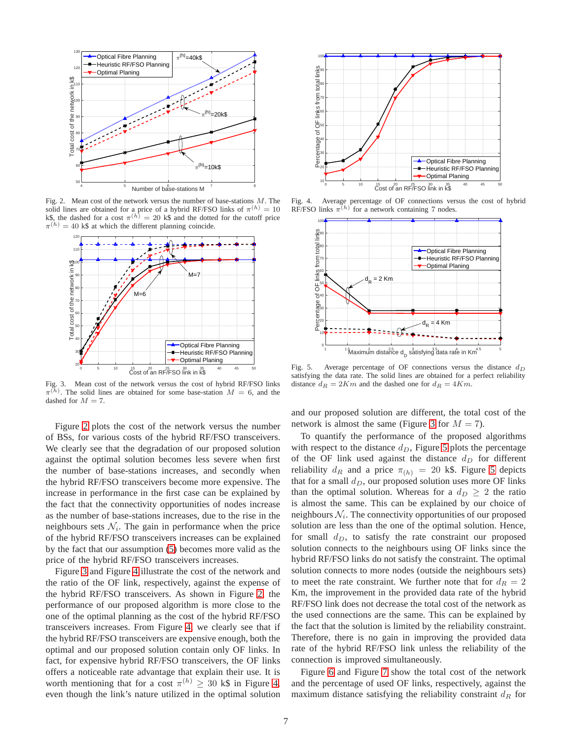

<span id="page-6-0"></span>Fig. 2. Mean cost of the network versus the number of base-stations  $M$ . The solid lines are obtained for a price of a hybrid RF/FSO links of  $\pi^{(h)} = 10$ k\$, the dashed for a cost  $\pi^{(h)} = 20$  k\$ and the dotted for the cutoff price  $\pi^{(h)} = 40$  k\$ at which the different planning coincide.



<span id="page-6-1"></span>Fig. 3. Mean cost of the network versus the cost of hybrid RF/FSO links  $\pi^{(h)}$ . The solid lines are obtained for some base-station  $M = 6$ , and the dashed for  $M = 7$ .

Figure [2](#page-6-0) plots the cost of the network versus the number of BSs, for various costs of the hybrid RF/FSO transceivers. We clearly see that the degradation of our proposed solution against the optimal solution becomes less severe when first the number of base-stations increases, and secondly when the hybrid RF/FSO transceivers become more expensive. The increase in performance in the first case can be explained by the fact that the connectivity opportunities of nodes increase as the number of base-stations increases, due to the rise in the neighbours sets  $\mathcal{N}_i$ . The gain in performance when the price of the hybrid RF/FSO transceivers increases can be explained by the fact that our assumption [\(5\)](#page-4-1) becomes more valid as the price of the hybrid RF/FSO transceivers increases.

Figure [3](#page-6-1) and Figure [4](#page-6-2) illustrate the cost of the network and the ratio of the OF link, respectively, against the expense of the hybrid RF/FSO transceivers. As shown in Figure [2,](#page-6-0) the performance of our proposed algorithm is more close to the one of the optimal planning as the cost of the hybrid RF/FSO transceivers increases. From Figure [4,](#page-6-2) we clearly see that if the hybrid RF/FSO transceivers are expensive enough, both the optimal and our proposed solution contain only OF links. In fact, for expensive hybrid RF/FSO transceivers, the OF links offers a noticeable rate advantage that explain their use. It is worth mentioning that for a cost  $\pi^{(h)} \geq 30$  k\$ in Figure [4,](#page-6-2) even though the link's nature utilized in the optimal solution



Fig. 4. Average percentage of OF connections versus the cost of hybrid RF/FSO links  $\pi^{(h)}$  for a network containing 7 nodes.

<span id="page-6-2"></span>

<span id="page-6-3"></span>Fig. 5. Average percentage of OF connections versus the distance  $d_D$ satisfying the data rate. The solid lines are obtained for a perfect reliability distance  $d_R = 2Km$  and the dashed one for  $d_R = 4Km$ .

and our proposed solution are different, the total cost of the network is almost the same (Figure [3](#page-6-1) for  $M = 7$ ).

To quantify the performance of the proposed algorithms with respect to the distance  $d<sub>D</sub>$ , Figure [5](#page-6-3) plots the percentage of the OF link used against the distance  $d_D$  for different reliability  $d_R$  and a price  $\pi_{(h)} = 20$  k\$. Figure [5](#page-6-3) depicts that for a small  $d_D$ , our proposed solution uses more OF links than the optimal solution. Whereas for a  $d_D \geq 2$  the ratio is almost the same. This can be explained by our choice of neighbours  $\mathcal{N}_i$ . The connectivity opportunities of our proposed solution are less than the one of the optimal solution. Hence, for small  $d_D$ , to satisfy the rate constraint our proposed solution connects to the neighbours using OF links since the hybrid RF/FSO links do not satisfy the constraint. The optimal solution connects to more nodes (outside the neighbours sets) to meet the rate constraint. We further note that for  $d_R = 2$ Km, the improvement in the provided data rate of the hybrid RF/FSO link does not decrease the total cost of the network as the used connections are the same. This can be explained by the fact that the solution is limited by the reliability constraint. Therefore, there is no gain in improving the provided data rate of the hybrid RF/FSO link unless the reliability of the connection is improved simultaneously.

Figure [6](#page-7-2) and Figure [7](#page-7-3) show the total cost of the network and the percentage of used OF links, respectively, against the maximum distance satisfying the reliability constraint  $d<sub>R</sub>$  for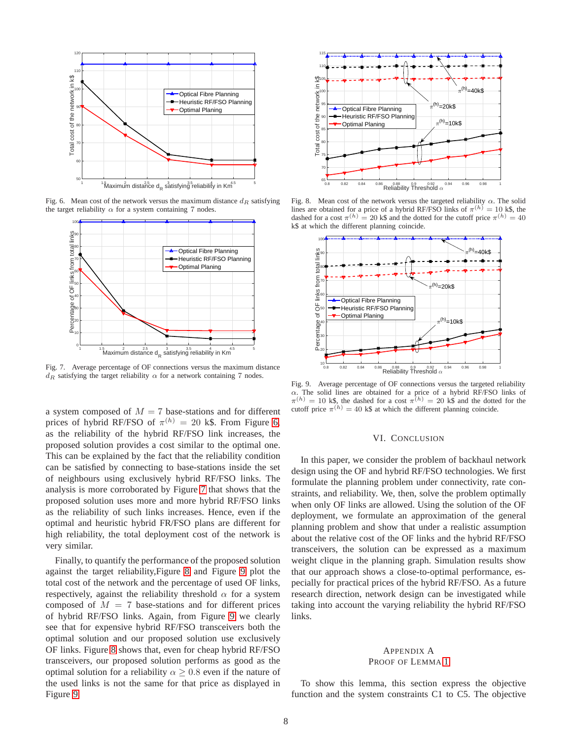

Fig. 6. Mean cost of the network versus the maximum distance  $d<sub>R</sub>$  satisfying the target reliability  $\alpha$  for a system containing 7 nodes.

<span id="page-7-2"></span>

<span id="page-7-3"></span>Fig. 7. Average percentage of OF connections versus the maximum distance  $d_R$  satisfying the target reliability  $\alpha$  for a network containing 7 nodes.

a system composed of  $M = 7$  base-stations and for different prices of hybrid RF/FSO of  $\pi^{(h)} = 20$  k\$. From Figure [6,](#page-7-2) as the reliability of the hybrid RF/FSO link increases, the proposed solution provides a cost similar to the optimal one. This can be explained by the fact that the reliability condition can be satisfied by connecting to base-stations inside the set of neighbours using exclusively hybrid RF/FSO links. The analysis is more corroborated by Figure [7](#page-7-3) that shows that the proposed solution uses more and more hybrid RF/FSO links as the reliability of such links increases. Hence, even if the optimal and heuristic hybrid FR/FSO plans are different for high reliability, the total deployment cost of the network is very similar.

Finally, to quantify the performance of the proposed solution against the target reliability,Figure [8](#page-7-4) and Figure [9](#page-7-5) plot the total cost of the network and the percentage of used OF links, respectively, against the reliability threshold  $\alpha$  for a system composed of  $M = 7$  base-stations and for different prices of hybrid RF/FSO links. Again, from Figure [9](#page-7-5) we clearly see that for expensive hybrid RF/FSO transceivers both the optimal solution and our proposed solution use exclusively OF links. Figure [8](#page-7-4) shows that, even for cheap hybrid RF/FSO transceivers, our proposed solution performs as good as the optimal solution for a reliability  $\alpha \geq 0.8$  even if the nature of the used links is not the same for that price as displayed in Figure [9.](#page-7-5)



<span id="page-7-4"></span>Fig. 8. Mean cost of the network versus the targeted reliability  $\alpha$ . The solid lines are obtained for a price of a hybrid RF/FSO links of  $\pi^{(h)} = 10$  k\$, the dashed for a cost  $\pi^{(h)} = 20$  k\$ and the dotted for the cutoff price  $\pi^{(h)} = 40$ k\$ at which the different planning coincide.



<span id="page-7-5"></span>Fig. 9. Average percentage of OF connections versus the targeted reliability α. The solid lines are obtained for a price of a hybrid RF/FSO links of  $\pi^{(h)} = 10$  k\$, the dashed for a cost  $\pi^{(h)} = 20$  k\$ and the dotted for the cutoff price  $\pi^{(h)} = 40$  k\$ at which the different planning coincide.

#### VI. CONCLUSION

<span id="page-7-0"></span>In this paper, we consider the problem of backhaul network design using the OF and hybrid RF/FSO technologies. We first formulate the planning problem under connectivity, rate constraints, and reliability. We, then, solve the problem optimally when only OF links are allowed. Using the solution of the OF deployment, we formulate an approximation of the general planning problem and show that under a realistic assumption about the relative cost of the OF links and the hybrid RF/FSO transceivers, the solution can be expressed as a maximum weight clique in the planning graph. Simulation results show that our approach shows a close-to-optimal performance, especially for practical prices of the hybrid RF/FSO. As a future research direction, network design can be investigated while taking into account the varying reliability the hybrid RF/FSO links.

## <span id="page-7-1"></span>APPENDIX A PROOF OF LEMMA [1](#page-2-10)

To show this lemma, this section express the objective function and the system constraints C1 to C5. The objective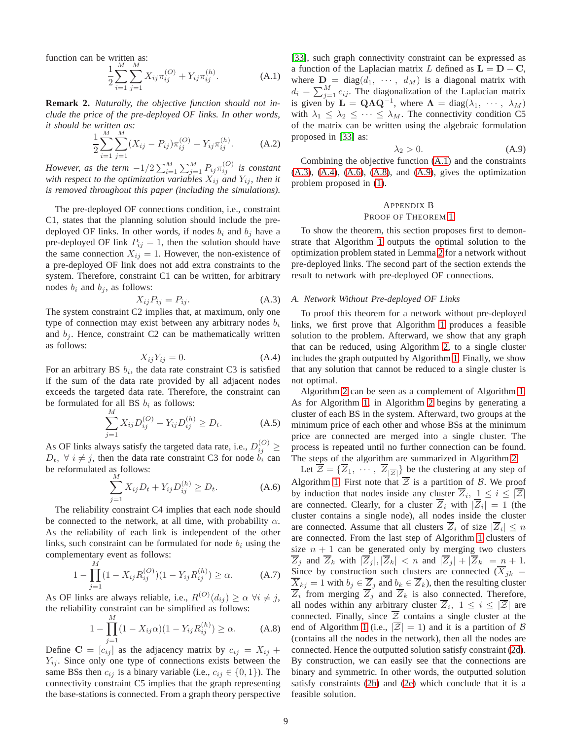function can be written as:

$$
\frac{1}{2} \sum_{i=1}^{M} \sum_{j=1}^{M} X_{ij} \pi_{ij}^{(O)} + Y_{ij} \pi_{ij}^{(h)}.
$$
 (A.1)

**Remark 2.** *Naturally, the objective function should not include the price of the pre-deployed OF links. In other words, it should be written as:*

$$
\frac{1}{2} \sum_{i=1}^{M} \sum_{j=1}^{M} (X_{ij} - P_{ij}) \pi_{ij}^{(O)} + Y_{ij} \pi_{ij}^{(h)}.
$$
 (A.2)

*However, as the term*  $-1/2 \sum_{i=1}^{M} \sum_{j=1}^{M} P_{ij} \pi_{ij}^{(O)}$  *is constant with respect to the optimization variables*  $X_{ij}$  *and*  $Y_{ij}$ *, then it is removed throughout this paper (including the simulations).*

The pre-deployed OF connections condition, i.e., constraint C1, states that the planning solution should include the predeployed OF links. In other words, if nodes  $b_i$  and  $b_j$  have a pre-deployed OF link  $P_{ij} = 1$ , then the solution should have the same connection  $X_{ij} = 1$ . However, the non-existence of a pre-deployed OF link does not add extra constraints to the system. Therefore, constraint C1 can be written, for arbitrary nodes  $b_i$  and  $b_j$ , as follows:

$$
X_{ij}P_{ij} = P_{ij}.\tag{A.3}
$$

The system constraint C2 implies that, at maximum, only one type of connection may exist between any arbitrary nodes  $b_i$ and  $b_i$ . Hence, constraint C2 can be mathematically written as follows:

$$
X_{ij}Y_{ij} = 0.\t\t(A.4)
$$

For an arbitrary BS  $b_i$ , the data rate constraint C3 is satisfied if the sum of the data rate provided by all adjacent nodes exceeds the targeted data rate. Therefore, the constraint can be formulated for all BS  $b_i$  as follows:

$$
\sum_{j=1}^{M} X_{ij} D_{ij}^{(O)} + Y_{ij} D_{ij}^{(h)} \ge D_t.
$$
 (A.5)

As OF links always satisfy the targeted data rate, i.e.,  $D_{ij}^{(O)} \geq$  $D_t$ ,  $\forall i \neq j$ , then the data rate constraint C3 for node  $b_i$  can be reformulated as follows:

$$
\sum_{j=1}^{N} X_{ij} D_t + Y_{ij} D_{ij}^{(h)} \ge D_t.
$$
 (A.6)

The reliability constraint C4 implies that each node should be connected to the network, at all time, with probability  $\alpha$ . As the reliability of each link is independent of the other links, such constraint can be formulated for node  $b_i$  using the complementary event as follows:

$$
1 - \prod_{j=1}^{M} (1 - X_{ij} R_{ij}^{(O)}) (1 - Y_{ij} R_{ij}^{(h)}) \ge \alpha.
$$
 (A.7)

As OF links are always reliable, i.e.,  $R^{(O)}(d_{ij}) \ge \alpha \ \forall i \ne j$ , the reliability constraint can be simplified as follows:

$$
1 - \prod_{j=1}^{M} (1 - X_{ij}\alpha)(1 - Y_{ij}R_{ij}^{(h)}) \ge \alpha.
$$
 (A.8)

Define  $\mathbf{C} = [c_{ij}]$  as the adjacency matrix by  $c_{ij} = X_{ij} +$  $Y_{ij}$ . Since only one type of connections exists between the same BSs then  $c_{ij}$  is a binary variable (i.e.,  $c_{ij} \in \{0, 1\}$ ). The connectivity constraint C5 implies that the graph representing the base-stations is connected. From a graph theory perspective <span id="page-8-1"></span>[\[33\]](#page-12-30), such graph connectivity constraint can be expressed as a function of the Laplacian matrix L defined as  $L = D - C$ , where  $D = diag(d_1, \cdots, d_M)$  is a diagonal matrix with  $d_i = \sum_{j=1}^{M} c_{ij}$ . The diagonalization of the Laplacian matrix is given by  $\mathbf{L} = \mathbf{Q} \Lambda \mathbf{Q}^{-1}$ , where  $\mathbf{\Lambda} = \text{diag}(\lambda_1, \dots, \lambda_M)$ with  $\lambda_1 \leq \lambda_2 \leq \cdots \leq \lambda_M$ . The connectivity condition C5 of the matrix can be written using the algebraic formulation proposed in [\[33\]](#page-12-30) as:

<span id="page-8-6"></span>
$$
\lambda_2 > 0. \tag{A.9}
$$

Combining the objective function [\(A.1\)](#page-8-1) and the constraints [\(A.3\)](#page-8-2), [\(A.4\)](#page-8-3), [\(A.6\)](#page-8-4), [\(A.8\)](#page-8-5), and [\(A.9\)](#page-8-6), gives the optimization problem proposed in [\(1\)](#page-2-2).

# <span id="page-8-0"></span>APPENDIX B

#### PROOF OF THEOREM [1](#page-3-4)

To show the theorem, this section proposes first to demonstrate that Algorithm [1](#page-3-1) outputs the optimal solution to the optimization problem stated in Lemma [2](#page-3-2) for a network without pre-deployed links. The second part of the section extends the result to network with pre-deployed OF connections.

#### <span id="page-8-2"></span>*A. Network Without Pre-deployed OF Links*

<span id="page-8-3"></span>To proof this theorem for a network without pre-deployed links, we first prove that Algorithm [1](#page-3-1) produces a feasible solution to the problem. Afterward, we show that any graph that can be reduced, using Algorithm [2,](#page-9-0) to a single cluster includes the graph outputted by Algorithm [1.](#page-3-1) Finally, we show that any solution that cannot be reduced to a single cluster is not optimal.

Algorithm [2](#page-9-0) can be seen as a complement of Algorithm [1.](#page-3-1) As for Algorithm [1,](#page-3-1) in Algorithm [2](#page-9-0) begins by generating a cluster of each BS in the system. Afterward, two groups at the minimum price of each other and whose BSs at the minimum price are connected are merged into a single cluster. The process is repeated until no further connection can be found. The steps of the algorithm are summarized in Algorithm [2.](#page-9-0)

<span id="page-8-5"></span><span id="page-8-4"></span>Let  $\overline{\mathcal{Z}} = {\overline{Z}_1, \dots, \overline{Z}_{|\overline{Z}|}}$  be the clustering at any step of Algorithm [1.](#page-3-1) First note that  $\overline{z}$  is a partition of  $\beta$ . We proof by induction that nodes inside any cluster  $Z_i$ ,  $1 \leq i \leq |\mathcal{Z}|$ are connected. Clearly, for a cluster  $Z_i$  with  $|Z_i| = 1$  (the cluster contains a single node), all nodes inside the cluster are connected. Assume that all clusters  $\overline{Z}_i$  of size  $|\overline{Z}_i| \leq n$ are connected. From the last step of Algorithm [1](#page-3-1) clusters of size  $n + 1$  can be generated only by merging two clusters  $\overline{Z}_j$  and  $\overline{Z}_k$  with  $|\overline{Z}_j|, |\overline{Z}_k| < n$  and  $|\overline{Z}_j| + |\overline{Z}_k| = n + 1$ . Since by construction such clusters are connected  $(\overline{X}_{jk} =$  $\overline{X}_{kj} = 1$  with  $b_j \in \overline{Z}_j$  and  $b_k \in \overline{Z}_k$ ), then the resulting cluster  $\overline{Z}_i$  from merging  $\overline{Z}_j$  and  $\overline{Z}_k$  is also connected. Therefore, all nodes within any arbitrary cluster  $\overline{Z}_i$ ,  $1 \leq i \leq |\overline{Z}|$  are connected. Finally, since  $\overline{z}$  contains a single cluster at the end of Algorithm [1](#page-3-1) (i.e.,  $|\overline{\mathcal{Z}}|=1$ ) and it is a partition of B (contains all the nodes in the network), then all the nodes are connected. Hence the outputted solution satisfy constraint [\(2d\)](#page-3-5). By construction, we can easily see that the connections are binary and symmetric. In other words, the outputted solution satisfy constraints [\(2b\)](#page-3-6) and [\(2e\)](#page-3-2) which conclude that it is a feasible solution.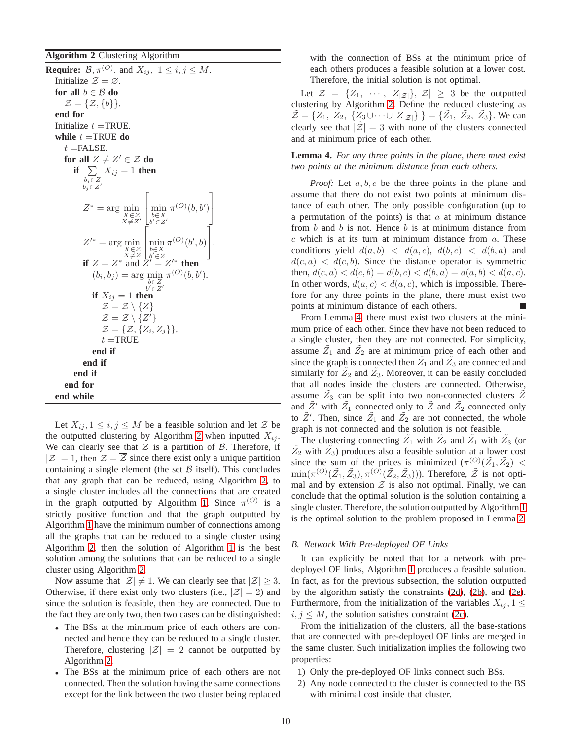<span id="page-9-0"></span>**Algorithm 2** Clustering Algorithm

**Require:**  $\mathcal{B}, \pi^{(O)}$ , and  $X_{ij}$ ,  $1 \leq i, j \leq M$ . Initialize  $\mathcal{Z} = \emptyset$ . **for all**  $b \in \mathcal{B}$  **do**  $\mathcal{Z} = \{\mathcal{Z}, \{b\}\}.$ **end for** Initialize  $t = TRUE$ . **while**  $t =$ TRUE **do**  $t =$ FALSE. **for all**  $Z \neq Z' \in \mathcal{Z}$  **do if**  $\sum$  $b_i \in Z$  $b_j \in Z'$  $X_{ij} = 1$  **then**  $Z^* = \arg\min_{\substack{X \in \mathcal{Z} \\ X \neq Z'}}$  $\sqrt{ }$  $\begin{bmatrix} \min\limits_{b\in X}\substack{b\in X}\end{bmatrix}$  $\pi^{(O)}(b, b')$ 1  $\overline{1}$  $Z'^* = \arg\min_{\substack{X \in \mathcal{Z} \\ X \neq Z}}$  $\sqrt{ }$ min b∈X b ′∈Z  $\pi^{(O)}(b', b)$ 1  $\vert \cdot$ **if**  $Z = Z^*$  and  $\overline{Z'} = Z'^*$  **then**  $(b_i, b_j) = \arg \min_{\pi} \pi^{(O)}(b, b').$ b∈Z b ′∈Z ′ **if**  $X_{ij} = 1$  **then**  $\mathcal{Z} = \mathcal{Z} \setminus \{Z\}$  $\mathcal{Z} = \mathcal{Z} \setminus \{Z'\}$  $\mathcal{Z} = \{ \mathcal{Z}, \{ Z_i, Z_j \} \}.$  $t =$ TRUE **end if end if end if end for end while**

Let  $X_{ij}$ ,  $1 \leq i, j \leq M$  be a feasible solution and let  $\mathcal{Z}$  be the outputted clustering by Algorithm [2](#page-9-0) when inputted  $X_{ij}$ . We can clearly see that  $Z$  is a partition of  $B$ . Therefore, if  $|\mathcal{Z}| = 1$ , then  $\mathcal{Z} = \overline{\mathcal{Z}}$  since there exist only a unique partition containing a single element (the set  $\beta$  itself). This concludes that any graph that can be reduced, using Algorithm [2,](#page-9-0) to a single cluster includes all the connections that are created in the graph outputted by Algorithm [1.](#page-3-1) Since  $\pi^{(O)}$  is a strictly positive function and that the graph outputted by Algorithm [1](#page-3-1) have the minimum number of connections among all the graphs that can be reduced to a single cluster using Algorithm [2,](#page-9-0) then the solution of Algorithm [1](#page-3-1) is the best solution among the solutions that can be reduced to a single cluster using Algorithm [2.](#page-9-0)

Now assume that  $|\mathcal{Z}| \neq 1$ . We can clearly see that  $|\mathcal{Z}| \geq 3$ . Otherwise, if there exist only two clusters (i.e.,  $|\mathcal{Z}| = 2$ ) and since the solution is feasible, then they are connected. Due to the fact they are only two, then two cases can be distinguished:

- The BSs at the minimum price of each others are connected and hence they can be reduced to a single cluster. Therefore, clustering  $|\mathcal{Z}| = 2$  cannot be outputted by Algorithm [2.](#page-9-0)
- The BSs at the minimum price of each others are not connected. Then the solution having the same connections except for the link between the two cluster being replaced

with the connection of BSs at the minimum price of each others produces a feasible solution at a lower cost. Therefore, the initial solution is not optimal.

Let  $\mathcal{Z} = \{Z_1, \cdots, Z_{|\mathcal{Z}|}\}, |\mathcal{Z}| \geq 3$  be the outputted clustering by Algorithm [2.](#page-9-0) Define the reduced clustering as  $\tilde{\mathcal{Z}} = \{Z_1, Z_2, \{Z_3 \cup \cdots \cup Z_{|\mathcal{Z}|}\}\}\ = \{\tilde{Z_1}, \tilde{Z_2}, \tilde{Z_3}\}\.$  We can clearly see that  $|\mathcal{Z}| = 3$  with none of the clusters connected and at minimum price of each other.

# <span id="page-9-1"></span>**Lemma 4.** *For any three points in the plane, there must exist two points at the minimum distance from each others.*

*Proof:* Let a, b, c be the three points in the plane and assume that there do not exist two points at minimum distance of each other. The only possible configuration (up to a permutation of the points) is that  $a$  at minimum distance from  $b$  and  $b$  is not. Hence  $b$  is at minimum distance from  $c$  which is at its turn at minimum distance from  $a$ . These conditions yield  $d(a, b) < d(a, c), d(b, c) < d(b, a)$  and  $d(c, a) \langle d(c, b) \rangle$ . Since the distance operator is symmetric then,  $d(c, a) < d(c, b) = d(b, c) < d(b, a) = d(a, b) < d(a, c)$ . In other words,  $d(a, c) < d(a, c)$ , which is impossible. Therefore for any three points in the plane, there must exist two points at minimum distance of each others.

From Lemma [4,](#page-9-1) there must exist two clusters at the minimum price of each other. Since they have not been reduced to a single cluster, then they are not connected. For simplicity, assume  $\tilde{Z}_1$  and  $\tilde{Z}_2$  are at minimum price of each other and since the graph is connected then  $\tilde{Z_1}$  and  $\tilde{Z_3}$  are connected and similarly for  $\tilde{Z}_2$  and  $\tilde{Z}_3$ . Moreover, it can be easily concluded that all nodes inside the clusters are connected. Otherwise, assume  $\tilde{Z}_3$  can be split into two non-connected clusters  $\tilde{Z}$ and  $\tilde{Z}'$  with  $\tilde{Z}_1$  connected only to  $\tilde{Z}$  and  $\tilde{Z}_2$  connected only to  $\tilde{Z}'$ . Then, since  $\tilde{Z}_1$  and  $\tilde{Z}_2$  are not connected, the whole graph is not connected and the solution is not feasible.

The clustering connecting  $\tilde{Z}_1$  with  $\tilde{Z}_2$  and  $\tilde{Z}_1$  with  $\tilde{Z}_3$  (or  $\tilde{Z}_2$  with  $\tilde{Z}_3$ ) produces also a feasible solution at a lower cost since the sum of the prices is minimized  $(\pi^{(O)}(\tilde{Z}_1, \tilde{Z}_2))$  <  $\min(\pi^{(O)}(\tilde{Z}_1, \tilde{Z}_3), \pi^{(O)}(\tilde{Z}_2, \tilde{Z}_3))$ ). Therefore,  $\tilde{\mathcal{Z}}$  is not optimal and by extension  $Z$  is also not optimal. Finally, we can conclude that the optimal solution is the solution containing a single cluster. Therefore, the solution outputted by Algorithm [1](#page-3-1) is the optimal solution to the problem proposed in Lemma [2.](#page-3-2)

## *B. Network With Pre-deployed OF Links*

It can explicitly be noted that for a network with predeployed OF links, Algorithm [1](#page-3-1) produces a feasible solution. In fact, as for the previous subsection, the solution outputted by the algorithm satisfy the constraints [\(2d\)](#page-3-5), [\(2b\)](#page-3-6), and [\(2e\)](#page-3-2). Furthermore, from the initialization of the variables  $X_{ij}$ ,  $1 \leq$  $i, j \leq M$ , the solution satisfies constraint [\(2c\)](#page-3-7).

From the initialization of the clusters, all the base-stations that are connected with pre-deployed OF links are merged in the same cluster. Such initialization implies the following two properties:

- 1) Only the pre-deployed OF links connect such BSs.
- 2) Any node connected to the cluster is connected to the BS with minimal cost inside that cluster.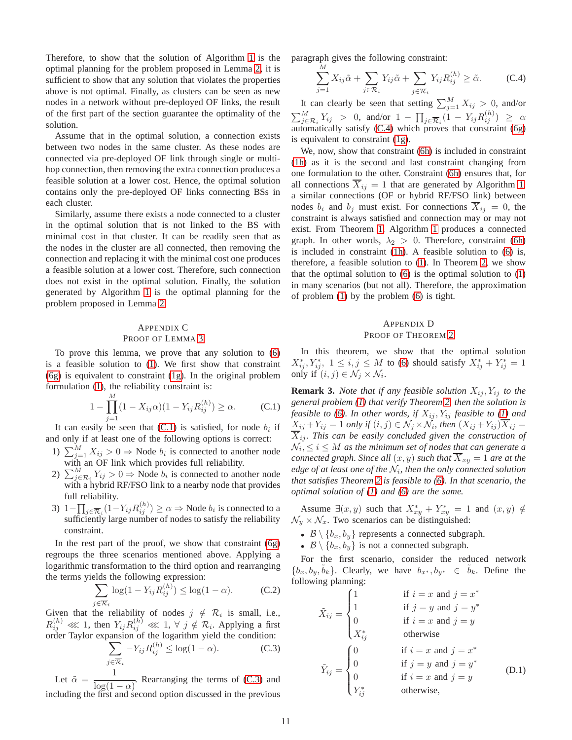Therefore, to show that the solution of Algorithm [1](#page-3-1) is the optimal planning for the problem proposed in Lemma [2,](#page-3-2) it is sufficient to show that any solution that violates the properties above is not optimal. Finally, as clusters can be seen as new nodes in a network without pre-deployed OF links, the result of the first part of the section guarantee the optimality of the solution.

Assume that in the optimal solution, a connection exists between two nodes in the same cluster. As these nodes are connected via pre-deployed OF link through single or multihop connection, then removing the extra connection produces a feasible solution at a lower cost. Hence, the optimal solution contains only the pre-deployed OF links connecting BSs in each cluster.

Similarly, assume there exists a node connected to a cluster in the optimal solution that is not linked to the BS with minimal cost in that cluster. It can be readily seen that as the nodes in the cluster are all connected, then removing the connection and replacing it with the minimal cost one produces a feasible solution at a lower cost. Therefore, such connection does not exist in the optimal solution. Finally, the solution generated by Algorithm [1](#page-3-1) is the optimal planning for the problem proposed in Lemma [2.](#page-3-2)

# <span id="page-10-0"></span>APPENDIX C PROOF OF LEMMA [3](#page-4-7)

To prove this lemma, we prove that any solution to [\(6\)](#page-4-2) is a feasible solution to [\(1\)](#page-2-2). We first show that constraint [\(6g\)](#page-4-3) is equivalent to constraint [\(1g\)](#page-2-7). In the original problem formulation [\(1\)](#page-2-2), the reliability constraint is:

$$
1 - \prod_{j=1}^{M} (1 - X_{ij}\alpha)(1 - Y_{ij}R_{ij}^{(h)}) \ge \alpha.
$$
 (C.1)

It can easily be seen that  $(C.1)$  is satisfied, for node  $b_i$  if and only if at least one of the following options is correct:

- 1)  $\sum_{j=1}^{M} X_{ij} > 0 \Rightarrow$  Node  $b_i$  is connected to another node with an OF link which provides full reliability.
- 2)  $\sum_{j \in \mathcal{R}_i}^{M} Y_{ij} > 0 \Rightarrow$  Node  $b_i$  is connected to another node with a hybrid RF/FSO link to a nearby node that provides full reliability.
- 3)  $1-\prod_{j\in\overline{\mathcal{R}}_i}(1-Y_{ij}R_{ij}^{(h)})\geq\alpha\Rightarrow\text{Node }b_i$  is connected to a sufficiently large number of nodes to satisfy the reliability constraint.

In the rest part of the proof, we show that constraint [\(6g\)](#page-4-3) regroups the three scenarios mentioned above. Applying a logarithmic transformation to the third option and rearranging the terms yields the following expression:

$$
\sum_{j \in \overline{\mathcal{R}}_i} \log(1 - Y_{ij} R_{ij}^{(h)}) \le \log(1 - \alpha). \tag{C.2}
$$

Given that the reliability of nodes  $j \notin \mathcal{R}_i$  is small, i.e.,  $R_{ij}^{(h)} \lll 1$ , then  $Y_{ij}R_{ij}^{(h)} \lll 1, \forall j \notin \mathcal{R}_i$ . Applying a first order Taylor expansion of the logarithm yield the condition :

$$
\sum_{j \in \overline{\mathcal{R}}_i} -Y_{ij} R_{ij}^{(h)} \le \log(1 - \alpha). \tag{C.3}
$$

Let  $\tilde{\alpha} = \frac{1}{1-(1-\alpha)}$  $\frac{1}{\log(1-\alpha)}$ . Rearranging the terms of [\(C.3\)](#page-10-3) and including the first and second option discussed in the previous paragraph gives the following constraint:

<span id="page-10-4"></span>
$$
\sum_{j=1}^{M} X_{ij} \tilde{\alpha} + \sum_{j \in \mathcal{R}_i} Y_{ij} \tilde{\alpha} + \sum_{j \in \overline{\mathcal{R}}_i} Y_{ij} R_{ij}^{(h)} \ge \tilde{\alpha}.
$$
 (C.4)

It can clearly be seen that setting  $\sum_{j=1}^{M} X_{ij} > 0$ , and/or  $\sum_{j \in \mathcal{R}_i}^M Y_{ij} > 0$ , and/or  $1 - \prod_{j \in \overline{\mathcal{R}}_i} (1 - Y_{ij} R_{ij}^{(h)}) \geq \alpha$ automatically satisfy [\(C.4\)](#page-10-4) which proves that constraint [\(6g\)](#page-4-3) is equivalent to constraint [\(1g\)](#page-2-7).

We, now, show that constraint [\(6h\)](#page-4-4) is included in constraint [\(1h\)](#page-2-3) as it is the second and last constraint changing from one formulation to the other. Constraint [\(6h\)](#page-4-4) ensures that, for all connections  $\overline{X}_{ij} = 1$  that are generated by Algorithm [1,](#page-3-1) a similar connections (OF or hybrid RF/FSO link) between nodes  $b_i$  and  $b_j$  must exist. For connections  $X_{ij} = 0$ , the constraint is always satisfied and connection may or may not exist. From Theorem [1,](#page-3-4) Algorithm [1](#page-3-1) produces a connected graph. In other words,  $\lambda_2 > 0$ . Therefore, constraint [\(6h\)](#page-4-4) is included in constraint [\(1h\)](#page-2-3). A feasible solution to [\(6\)](#page-4-2) is, therefore, a feasible solution to [\(1\)](#page-2-2). In Theorem [2,](#page-4-8) we show that the optimal solution to  $(6)$  is the optimal solution to  $(1)$ in many scenarios (but not all). Therefore, the approximation of problem [\(1\)](#page-2-2) by the problem [\(6\)](#page-4-2) is tight.

## <span id="page-10-1"></span>APPENDIX D PROOF OF THEOREM [2](#page-4-8)

In this theorem, we show that the optimal solution  $X_{ij}^*, Y_{ij}^*, 1 \le i, j \le M$  to [\(6\)](#page-4-2) should satisfy  $X_{ij}^* + Y_{ij}^* = 1$ only if  $(i, j) \in \mathcal{N}_j \times \mathcal{N}_i$ .

<span id="page-10-2"></span>**Remark 3.** *Note that if any feasible solution*  $X_{ij}$ ,  $Y_{ij}$  *to the general problem [\(1\)](#page-2-2) that verify Theorem [2,](#page-4-8) then the solution is feasible to* [\(6\)](#page-4-2)*. In other words, if*  $X_{ij}$ ,  $Y_{ij}$  *feasible to* [\(1\)](#page-2-2) and  $X_{ij}+Y_{ij}=1$  only if  $(i,j) \in \mathcal{N}_j \times \mathcal{N}_i$ , then  $(X_{ij}+Y_{ij})\overline{X}_{ij}=1$  $\overline{X}_{ij}$ *. This can be easily concluded given the construction of*  $\mathcal{N}_i, \leq i \leq M$  as the minimum set of nodes that can generate a *connected graph. Since all*  $(x, y)$  *such that*  $\overline{X}_{xy} = 1$  *are at the edge of at least one of the* N<sup>i</sup> *, then the only connected solution that satisfies Theorem [2](#page-4-8) is feasible to [\(6\)](#page-4-2). In that scenario, the optimal solution of [\(1\)](#page-2-2) and [\(6\)](#page-4-2) are the same.*

Assume  $\exists (x, y)$  such that  $X_{xy}^* + Y_{xy}^* = 1$  and  $(x, y) \notin$  $\mathcal{N}_y \times \mathcal{N}_x$ . Two scenarios can be distinguished:

- $\mathcal{B} \setminus \{b_x, b_y\}$  represents a connected subgraph.
- $\mathcal{B} \setminus \{b_x, b_y\}$  is not a connected subgraph.

For the first scenario, consider the reduced network  ${b_x, b_y, \tilde{b}_k}$ . Clearly, we have  $b_{x*}, b_{y*} \in \tilde{b}_k$ . Define the following planning:

<span id="page-10-3"></span>
$$
\tilde{X}_{ij} = \begin{cases}\n1 & \text{if } i = x \text{ and } j = x^* \\
1 & \text{if } j = y \text{ and } j = y^* \\
0 & \text{if } i = x \text{ and } j = y \\
X_{ij}^* & \text{otherwise}\n\end{cases}
$$
\n
$$
\tilde{Y}_{ij} = \begin{cases}\n0 & \text{if } i = x \text{ and } j = x^* \\
0 & \text{if } j = y \text{ and } j = y^* \\
0 & \text{if } i = x \text{ and } j = y \\
Y_{ij}^* & \text{otherwise,} \n\end{cases}
$$
\n(D.1)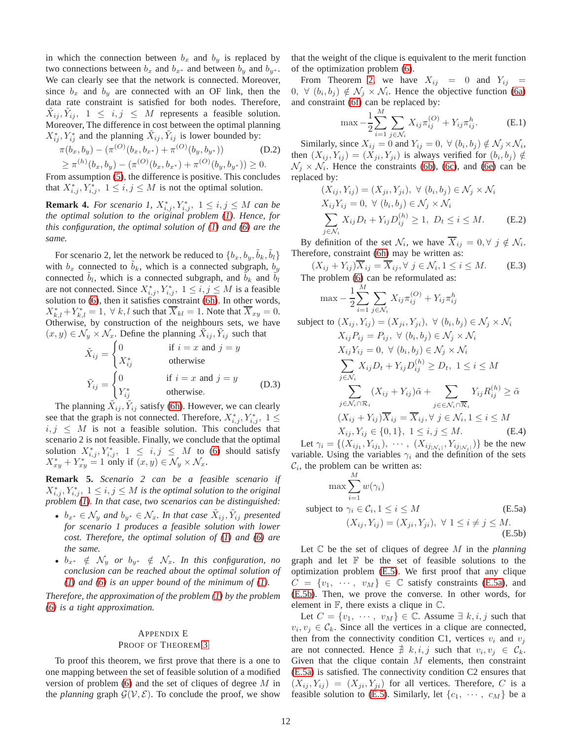in which the connection between  $b_x$  and  $b_y$  is replaced by two connections between  $b_x$  and  $b_{x*}$  and between  $b_y$  and  $b_{y*}$ . We can clearly see that the network is connected. Moreover, since  $b_x$  and  $b_y$  are connected with an OF link, then the data rate constraint is satisfied for both nodes. Therefore,  $\tilde{X}_{ij}, \tilde{Y}_{ij}, 1 \le i, j \le M$  represents a feasible solution. Moreover, The difference in cost between the optimal planning  $X_{ij}^*, Y_{ij}^*$  and the planning  $\tilde{X}_{ij}, \tilde{Y}_{ij}$  is lower bounded by:

$$
\pi(b_x, b_y) - (\pi^{(O)}(b_x, b_{x^*}) + \pi^{(O)}(b_y, b_{y^*}))
$$
 (D.2)  
\n
$$
\geq \pi^{(h)}(b_x, b_y) - (\pi^{(O)}(b_x, b_{x^*}) + \pi^{(O)}(b_y, b_{y^*})) \geq 0.
$$

From assumption [\(5\)](#page-4-1), the difference is positive. This concludes that  $X^*_{i,j}, Y^*_{i,j}, 1 \leq i, j \leq M$  is not the optimal solution.

**Remark 4.** *For scenario 1,*  $X^*_{i,j}$ ,  $Y^*_{i,j}$ ,  $1 \leq i, j \leq M$  *can be the optimal solution to the original problem [\(1\)](#page-2-2). Hence, for this configuration, the optimal solution of [\(1\)](#page-2-2) and [\(6\)](#page-4-2) are the same.*

For scenario 2, let the network be reduced to  $\{b_x, b_y, \tilde{b}_k, \tilde{b}_l\}$ with  $b_x$  connected to  $b_k$ , which is a connected subgraph,  $b_y$ connected  $\tilde{b}_l$ , which is a connected subgraph, and  $\tilde{b}_k$  and  $\tilde{b}_l$ are not connected. Since  $X^*_{i,j}, Y^*_{i,j}, 1 \leq i, j \leq M$  is a feasible solution to [\(6\)](#page-4-2), then it satisfies constraint [\(6h\)](#page-4-4). In other words,  $X_{k,l}^* + Y_{k,l}^* = 1$ ,  $\forall k, l$  such that  $\overline{X}_{kl} = 1$ . Note that  $\overline{X}_{xy} = 0$ . Otherwise, by construction of the neighbours sets, we have  $(x, y) \in \mathcal{N}_y \times \mathcal{N}_x$ . Define the planning  $\tilde{X}_{ij}$ ,  $\tilde{Y}_{ij}$  such that

$$
\tilde{X}_{ij} = \begin{cases}\n0 & \text{if } i = x \text{ and } j = y \\
X_{ij}^* & \text{otherwise}\n\end{cases}
$$
\n
$$
\tilde{Y}_{ij} = \begin{cases}\n0 & \text{if } i = x \text{ and } j = y \\
Y_{ij}^* & \text{otherwise.} \n\end{cases}
$$
\n(D.3)

The planning  $\tilde{X}_{ij}$ ,  $\tilde{Y}_{ij}$  satisfy [\(6h\)](#page-4-4). However, we can clearly see that the graph is not connected. Therefore,  $X^*_{i,j}$ ,  $Y^*_{i,j}$ ,  $1 \leq$  $i, j \leq M$  is not a feasible solution. This concludes that scenario 2 is not feasible. Finally, we conclude that the optimal solution  $X^*_{i,j}, Y^*_{i,j}, 1 \leq i,j \leq M$  to [\(6\)](#page-4-2) should satisfy  $X^*_{xy} + Y^*_{xy} = 1$  only if  $(x, y) \in \mathcal{N}_y \times \mathcal{N}_x$ .

**Remark 5.** *Scenario 2 can be a feasible scenario if*  $X^*_{i,j}, Y^*_{i,j}, 1 \leq i,j \leq M$  is the optimal solution to the original *problem [\(1\)](#page-2-2). In that case, two scenarios can be distinguished:*

- $b_{x^*} \in \mathcal{N}_y$  and  $b_{y^*} \in \mathcal{N}_x$ . In that case  $\tilde{X}_{ij}, \tilde{Y}_{ij}$  presented *for scenario 1 produces a feasible solution with lower cost. Therefore, the optimal solution of [\(1\)](#page-2-2) and [\(6\)](#page-4-2) are the same.*
- $b_{x^*} \notin \mathcal{N}_y$  or  $b_{y^*} \notin \mathcal{N}_x$ . In this configuration, no *conclusion can be reached about the optimal solution of [\(1\)](#page-2-2) and [\(6\)](#page-4-2) is an upper bound of the minimum of [\(1\)](#page-2-2).*

*Therefore, the approximation of the problem [\(1\)](#page-2-2) by the problem [\(6\)](#page-4-2) is a tight approximation.*

## <span id="page-11-0"></span>APPENDIX E PROOF OF THEOREM [3](#page-4-9)

To proof this theorem, we first prove that there is a one to one mapping between the set of feasible solution of a modified version of problem [\(6\)](#page-4-2) and the set of cliques of degree M in the *planning* graph  $\mathcal{G}(\mathcal{V}, \mathcal{E})$ . To conclude the proof, we show that the weight of the clique is equivalent to the merit function of the optimization problem [\(6\)](#page-4-2).

From Theorem [2,](#page-4-8) we have  $X_{ij} = 0$  and  $Y_{ij} = 0$  $(0, \forall (b_i, b_j) \notin \mathcal{N}_j \times \mathcal{N}_i$ . Hence the objective function [\(6a\)](#page-4-10) and constraint [\(6f\)](#page-4-11) can be replaced by:

$$
\max -\frac{1}{2} \sum_{i=1}^{M} \sum_{j \in \mathcal{N}_i} X_{ij} \pi_{ij}^{(O)} + Y_{ij} \pi_{ij}^{h}.
$$
 (E.1)

Similarly, since  $X_{ij} = 0$  and  $Y_{ij} = 0$ ,  $\forall (b_i, b_j) \notin \mathcal{N}_j \times \mathcal{N}_i$ , then  $(X_{ij}, Y_{ij}) = (X_{ji}, Y_{ji})$  is always verified for  $(b_i, b_j) \notin$  $\mathcal{N}_j \times \mathcal{N}_i$ . Hence the constraints [\(6b\)](#page-4-12), [\(6c\)](#page-4-13), and [\(6e\)](#page-4-14) can be replaced by:

$$
(X_{ij}, Y_{ij}) = (X_{ji}, Y_{ji}), \forall (b_i, b_j) \in \mathcal{N}_j \times \mathcal{N}_i
$$
  
\n
$$
X_{ij}Y_{ij} = 0, \forall (b_i, b_j) \in \mathcal{N}_j \times \mathcal{N}_i
$$
  
\n
$$
\sum_{j \in \mathcal{N}_i} X_{ij}D_t + Y_{ij}D_{ij}^{(h)} \ge 1, D_t \le i \le M.
$$
 (E.2)

By definition of the set  $\mathcal{N}_i$ , we have  $X_{ij} = 0, \forall j \notin \mathcal{N}_i$ . Therefore, constraint [\(6h\)](#page-4-4) may be written as:

$$
(X_{ij} + Y_{ij})\overline{X}_{ij} = \overline{X}_{ij}, \forall j \in \mathcal{N}_i, 1 \le i \le M.
$$
 (E.3)  
The problem (6) can be reformulated as:

$$
\max - \frac{1}{2} \sum_{i=1}^{M} \sum_{j \in \mathcal{N}_i} X_{ij} \pi_{ij}^{(O)} + Y_{ij} \pi_{ij}^{h}
$$

subject to  $(X_{ij}, Y_{ij}) = (X_{ji}, Y_{ji}), \forall (b_i, b_j) \in \mathcal{N}_j \times \mathcal{N}_i$ 

$$
X_{ij}P_{ij} = P_{ij}, \forall (b_i, b_j) \in \mathcal{N}_j \times \mathcal{N}_i
$$
  
\n
$$
X_{ij}Y_{ij} = 0, \forall (b_i, b_j) \in \mathcal{N}_j \times \mathcal{N}_i
$$
  
\n
$$
\sum_{j \in \mathcal{N}_i} X_{ij}D_t + Y_{ij}D_{ij}^{(h)} \ge D_t, \ 1 \le i \le M
$$
  
\n
$$
\sum_{j \in \mathcal{N}_i \cap \mathcal{R}_i} (X_{ij} + Y_{ij})\tilde{\alpha} + \sum_{j \in \in \mathcal{N}_i \cap \overline{\mathcal{R}}_i} Y_{ij}R_{ij}^{(h)} \ge \tilde{\alpha}
$$
  
\n
$$
(X_{ij} + Y_{ij})\overline{X}_{ij} = \overline{X}_{ij}, \forall j \in \mathcal{N}_i, 1 \le i \le M
$$
  
\n
$$
X_{ij}, Y_{ij} \in \{0, 1\}, \ 1 \le i, j \le M.
$$
 (E.4)

Let  $\gamma_i = \{(X_{ij_1}, Y_{ij_1}), \dots, (X_{ij_{|\mathcal{N}_i|}}, Y_{ij_{|\mathcal{N}_i|}})\}\)$  be the new variable. Using the variables  $\gamma_i$  and the definition of the sets  $\mathcal{C}_i$ , the problem can be written as:

<span id="page-11-2"></span><span id="page-11-1"></span>
$$
\max \sum_{i=1}^{M} w(\gamma_i)
$$
\nsubject to  $\gamma_i \in C_i, 1 \leq i \leq M$   
\n $(X_{ij}, Y_{ij}) = (X_{ji}, Y_{ji}), \forall 1 \leq i \neq j \leq M.$   
\n(E.5b)

Let C be the set of cliques of degree M in the *planning* graph and let  $F$  be the set of feasible solutions to the optimization problem [\(E.5\)](#page-11-1). We first proof that any clique  $C = \{v_1, \cdots, v_M\} \in \mathbb{C}$  satisfy constraints [\(E.5a\)](#page-11-2), and [\(E.5b\)](#page-11-1). Then, we prove the converse. In other words, for element in  $\mathbb{F}$ , there exists a clique in  $\mathbb{C}$ .

Let  $C = \{v_1, \dots, v_M\} \in \mathbb{C}$ . Assume  $\exists k, i, j$  such that  $v_i, v_j \in \mathcal{C}_k$ . Since all the vertices in a clique are connected, then from the connectivity condition C1, vertices  $v_i$  and  $v_j$ are not connected. Hence  $\neq k, i, j$  such that  $v_i, v_j \in \mathcal{C}_k$ . Given that the clique contain  $M$  elements, then constraint [\(E.5a\)](#page-11-2) is satisfied. The connectivity condition C2 ensures that  $(X_{ij}, Y_{ij}) = (X_{ji}, Y_{ji})$  for all vertices. Therefore, C is a feasible solution to [\(E.5\)](#page-11-1). Similarly, let  $\{c_1, \cdots, c_M\}$  be a